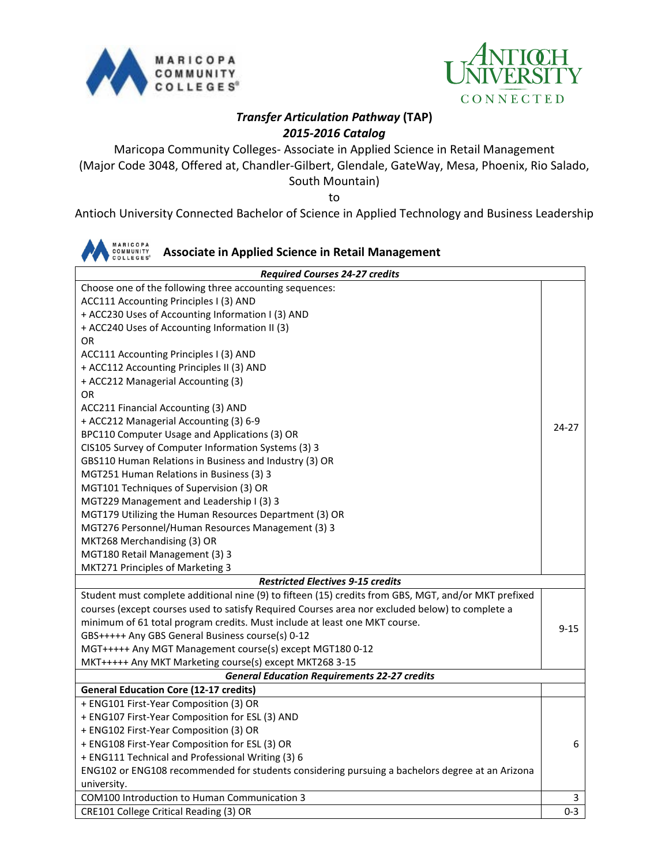



## *Transfer Articulation Pathway* **(TAP)** *2015-2016 Catalog*

Maricopa Community Colleges- Associate in Applied Science in Retail Management (Major Code 3048, Offered at, Chandler-Gilbert, Glendale, GateWay, Mesa, Phoenix, Rio Salado, South Mountain)

to

Antioch University Connected Bachelor of Science in Applied Technology and Business Leadership

| MARICOPA<br>COMMUNITY<br><b>Associate in Applied Science in Retail Management</b>                    |          |  |
|------------------------------------------------------------------------------------------------------|----------|--|
| <b>Required Courses 24-27 credits</b>                                                                |          |  |
| Choose one of the following three accounting sequences:                                              |          |  |
| ACC111 Accounting Principles I (3) AND                                                               |          |  |
| + ACC230 Uses of Accounting Information I (3) AND                                                    |          |  |
| + ACC240 Uses of Accounting Information II (3)                                                       |          |  |
| <b>OR</b>                                                                                            |          |  |
| ACC111 Accounting Principles I (3) AND                                                               |          |  |
| + ACC112 Accounting Principles II (3) AND                                                            |          |  |
| + ACC212 Managerial Accounting (3)                                                                   |          |  |
| OR                                                                                                   |          |  |
| ACC211 Financial Accounting (3) AND                                                                  |          |  |
| + ACC212 Managerial Accounting (3) 6-9                                                               |          |  |
| BPC110 Computer Usage and Applications (3) OR                                                        | 24-27    |  |
| CIS105 Survey of Computer Information Systems (3) 3                                                  |          |  |
| GBS110 Human Relations in Business and Industry (3) OR                                               |          |  |
| MGT251 Human Relations in Business (3) 3                                                             |          |  |
| MGT101 Techniques of Supervision (3) OR                                                              |          |  |
| MGT229 Management and Leadership I (3) 3                                                             |          |  |
| MGT179 Utilizing the Human Resources Department (3) OR                                               |          |  |
| MGT276 Personnel/Human Resources Management (3) 3                                                    |          |  |
| MKT268 Merchandising (3) OR                                                                          |          |  |
| MGT180 Retail Management (3) 3                                                                       |          |  |
| MKT271 Principles of Marketing 3                                                                     |          |  |
| <b>Restricted Electives 9-15 credits</b>                                                             |          |  |
| Student must complete additional nine (9) to fifteen (15) credits from GBS, MGT, and/or MKT prefixed |          |  |
| courses (except courses used to satisfy Required Courses area nor excluded below) to complete a      |          |  |
| minimum of 61 total program credits. Must include at least one MKT course.                           |          |  |
| GBS+++++ Any GBS General Business course(s) 0-12                                                     | $9 - 15$ |  |
| MGT+++++ Any MGT Management course(s) except MGT180 0-12                                             |          |  |
| MKT+++++ Any MKT Marketing course(s) except MKT268 3-15                                              |          |  |
| <b>General Education Requirements 22-27 credits</b>                                                  |          |  |
| <b>General Education Core (12-17 credits)</b>                                                        |          |  |
| + ENG101 First-Year Composition (3) OR                                                               |          |  |
| + ENG107 First-Year Composition for ESL (3) AND                                                      |          |  |
| + ENG102 First-Year Composition (3) OR                                                               |          |  |
| + ENG108 First-Year Composition for ESL (3) OR                                                       | 6        |  |
| + ENG111 Technical and Professional Writing (3) 6                                                    |          |  |
| ENG102 or ENG108 recommended for students considering pursuing a bachelors degree at an Arizona      |          |  |
| university.                                                                                          |          |  |
| COM100 Introduction to Human Communication 3                                                         | 3        |  |
| CRE101 College Critical Reading (3) OR                                                               | $0 - 3$  |  |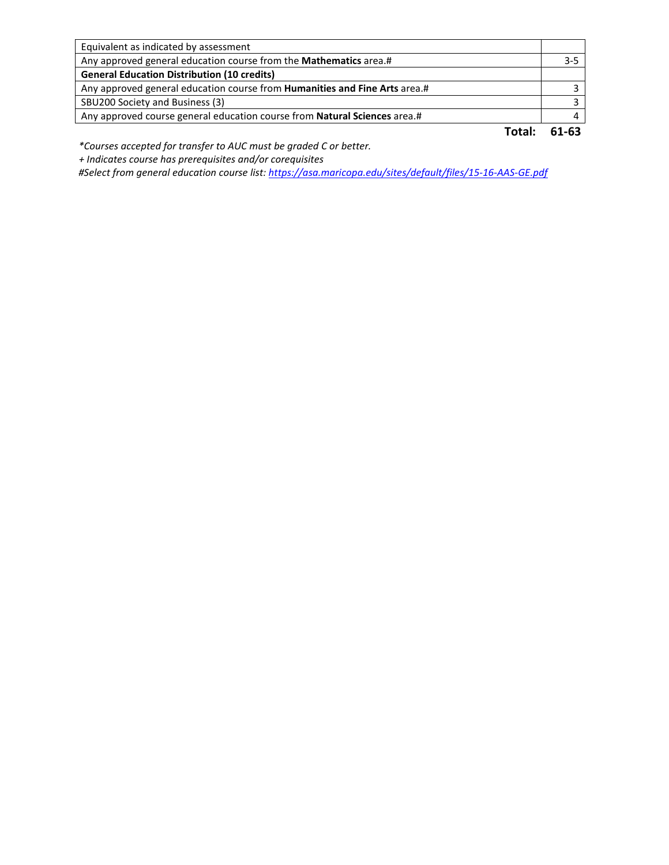| Equivalent as indicated by assessment                                             |         |
|-----------------------------------------------------------------------------------|---------|
| Any approved general education course from the Mathematics area.#                 | $3 - 5$ |
| <b>General Education Distribution (10 credits)</b>                                |         |
| Any approved general education course from <b>Humanities and Fine Arts</b> area.# |         |
| SBU200 Society and Business (3)                                                   |         |
| Any approved course general education course from Natural Sciences area.#         |         |
|                                                                                   | 61-63   |

*\*Courses accepted for transfer to AUC must be graded C or better.*

 *+ Indicates course has prerequisites and/or corequisites*

*#Select from general education course list:<https://asa.maricopa.edu/sites/default/files/15-16-AAS-GE.pdf>*